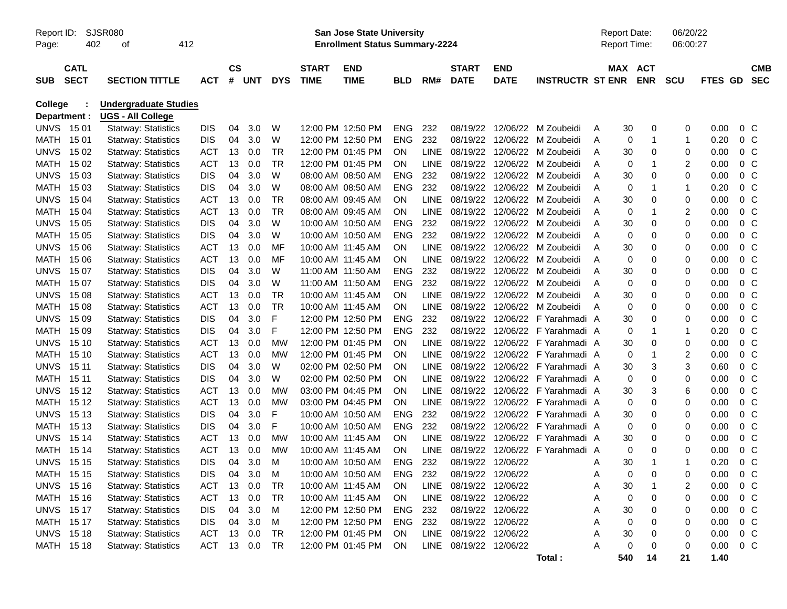| <b>SJSR080</b><br>Report ID:<br>412<br>402<br>Page:<br>οf                    |                            |                            |            |                |            |            |                             |                           | <b>Report Date:</b><br>06/20/22<br>06:00:27<br><b>Report Time:</b> |             |                             |                           |                         |   |         |             |                |         |                |                          |
|------------------------------------------------------------------------------|----------------------------|----------------------------|------------|----------------|------------|------------|-----------------------------|---------------------------|--------------------------------------------------------------------|-------------|-----------------------------|---------------------------|-------------------------|---|---------|-------------|----------------|---------|----------------|--------------------------|
| <b>SUB</b>                                                                   | <b>CATL</b><br><b>SECT</b> | <b>SECTION TITTLE</b>      | <b>ACT</b> | <b>CS</b><br># | <b>UNT</b> | <b>DYS</b> | <b>START</b><br><b>TIME</b> | <b>END</b><br><b>TIME</b> | <b>BLD</b>                                                         | RM#         | <b>START</b><br><b>DATE</b> | <b>END</b><br><b>DATE</b> | <b>INSTRUCTR ST ENR</b> |   | MAX ACT | <b>ENR</b>  | <b>SCU</b>     | FTES GD |                | <b>CMB</b><br><b>SEC</b> |
| College<br><b>Undergraduate Studies</b><br>Department :<br>UGS - All College |                            |                            |            |                |            |            |                             |                           |                                                                    |             |                             |                           |                         |   |         |             |                |         |                |                          |
|                                                                              | <b>UNVS 1501</b>           | <b>Statway: Statistics</b> | DIS        | 04             | 3.0        | W          |                             | 12:00 PM 12:50 PM         | <b>ENG</b>                                                         | 232         | 08/19/22                    | 12/06/22                  | M Zoubeidi              | A | 30      | 0           | 0              | 0.00    | 0 <sup>o</sup> |                          |
|                                                                              | MATH 1501                  | <b>Statway: Statistics</b> | <b>DIS</b> | 04             | 3.0        | W          |                             | 12:00 PM 12:50 PM         | <b>ENG</b>                                                         | 232         | 08/19/22                    | 12/06/22                  | M Zoubeidi              | A | 0       | 1           | $\mathbf{1}$   | 0.20    | 0 <sup>o</sup> |                          |
| <b>UNVS</b>                                                                  | 15 02                      | <b>Statway: Statistics</b> | <b>ACT</b> | 13             | 0.0        | <b>TR</b>  |                             | 12:00 PM 01:45 PM         | ON                                                                 | <b>LINE</b> | 08/19/22                    | 12/06/22                  | M Zoubeidi              | A | 30      | $\mathbf 0$ | 0              | 0.00    | 0 <sup>o</sup> |                          |
| MATH                                                                         | 15 02                      | <b>Statway: Statistics</b> | <b>ACT</b> | 13             | 0.0        | <b>TR</b>  |                             | 12:00 PM 01:45 PM         | ON                                                                 | <b>LINE</b> | 08/19/22                    | 12/06/22                  | M Zoubeidi              | Α | 0       | -1          | $\overline{c}$ | 0.00    | 0 <sup>o</sup> |                          |
| <b>UNVS</b>                                                                  | 15 03                      | <b>Statway: Statistics</b> | <b>DIS</b> | 04             | 3.0        | W          |                             | 08:00 AM 08:50 AM         | <b>ENG</b>                                                         | 232         | 08/19/22                    | 12/06/22                  | M Zoubeidi              | Α | 30      | $\mathbf 0$ | 0              | 0.00    | 0 <sup>o</sup> |                          |
| <b>MATH</b>                                                                  | 15 03                      | <b>Statway: Statistics</b> | <b>DIS</b> | 04             | 3.0        | W          |                             | 08:00 AM 08:50 AM         | <b>ENG</b>                                                         | 232         | 08/19/22                    | 12/06/22                  | M Zoubeidi              | Α | 0       | -1          | $\mathbf{1}$   | 0.20    | 0 <sup>o</sup> |                          |
| UNVS.                                                                        | 15 04                      | <b>Statway: Statistics</b> | <b>ACT</b> | 13             | 0.0        | <b>TR</b>  |                             | 08:00 AM 09:45 AM         | OΝ                                                                 | <b>LINE</b> | 08/19/22                    | 12/06/22                  | M Zoubeidi              | А | 30      | $\mathbf 0$ | 0              | 0.00    | 0 <sup>o</sup> |                          |
| MATH                                                                         | 15 04                      | <b>Statway: Statistics</b> | <b>ACT</b> | 13             | 0.0        | <b>TR</b>  |                             | 08:00 AM 09:45 AM         | OΝ                                                                 | <b>LINE</b> | 08/19/22                    | 12/06/22                  | M Zoubeidi              | Α | 0       | -1          | $\overline{c}$ | 0.00    | 0 <sup>C</sup> |                          |
| <b>UNVS</b>                                                                  | 15 05                      | <b>Statway: Statistics</b> | <b>DIS</b> | 04             | 3.0        | W          |                             | 10:00 AM 10:50 AM         | <b>ENG</b>                                                         | 232         | 08/19/22                    | 12/06/22                  | M Zoubeidi              | А | 30      | $\mathbf 0$ | 0              | 0.00    | 0 <sup>o</sup> |                          |
| <b>MATH</b>                                                                  | 15 05                      | <b>Statway: Statistics</b> | <b>DIS</b> | 04             | 3.0        | W          |                             | 10:00 AM 10:50 AM         | <b>ENG</b>                                                         | 232         | 08/19/22                    | 12/06/22                  | M Zoubeidi              | Α | 0       | $\mathbf 0$ | 0              | 0.00    | 0 <sup>o</sup> |                          |
| <b>UNVS</b>                                                                  | 15 06                      | <b>Statway: Statistics</b> | <b>ACT</b> | 13             | 0.0        | MF         |                             | 10:00 AM 11:45 AM         | OΝ                                                                 | <b>LINE</b> | 08/19/22                    | 12/06/22                  | M Zoubeidi              | А | 30      | 0           | 0              | 0.00    | 0 <sup>o</sup> |                          |
| <b>MATH</b>                                                                  | 15 06                      | <b>Statway: Statistics</b> | <b>ACT</b> | 13             | 0.0        | MF         | 10:00 AM 11:45 AM           |                           | OΝ                                                                 | <b>LINE</b> | 08/19/22                    | 12/06/22                  | M Zoubeidi              | Α | 0       | $\mathbf 0$ | 0              | 0.00    | 0 <sup>o</sup> |                          |
| <b>UNVS</b>                                                                  | 15 07                      | <b>Statway: Statistics</b> | <b>DIS</b> | 04             | 3.0        | W          | 11:00 AM 11:50 AM           |                           | <b>ENG</b>                                                         | 232         | 08/19/22                    | 12/06/22                  | M Zoubeidi              | А | 30      | $\mathbf 0$ | 0              | 0.00    | 0 <sup>o</sup> |                          |
| MATH                                                                         | 15 07                      | <b>Statway: Statistics</b> | <b>DIS</b> | 04             | 3.0        | W          | 11:00 AM 11:50 AM           |                           | <b>ENG</b>                                                         | 232         | 08/19/22                    | 12/06/22                  | M Zoubeidi              | А | 0       | $\mathbf 0$ | 0              | 0.00    | 0 <sup>o</sup> |                          |
| <b>UNVS</b>                                                                  | 15 08                      | <b>Statway: Statistics</b> | <b>ACT</b> | 13             | 0.0        | <b>TR</b>  | 10:00 AM 11:45 AM           |                           | OΝ                                                                 | <b>LINE</b> | 08/19/22                    | 12/06/22                  | M Zoubeidi              | А | 30      | $\mathbf 0$ | 0              | 0.00    | 0 <sup>o</sup> |                          |
| MATH                                                                         | 15 08                      | <b>Statway: Statistics</b> | <b>ACT</b> | 13             | 0.0        | <b>TR</b>  |                             | 10:00 AM 11:45 AM         | ON                                                                 | <b>LINE</b> | 08/19/22                    | 12/06/22                  | M Zoubeidi              | A | 0       | $\mathbf 0$ | 0              | 0.00    | 0 <sup>o</sup> |                          |
| <b>UNVS</b>                                                                  | 15 09                      | <b>Statway: Statistics</b> | <b>DIS</b> | 04             | 3.0        | F          |                             | 12:00 PM 12:50 PM         | <b>ENG</b>                                                         | 232         | 08/19/22                    | 12/06/22                  | F Yarahmadi A           |   | 30      | $\mathbf 0$ | 0              | 0.00    | 0 <sup>o</sup> |                          |
| MATH                                                                         | 15 09                      | <b>Statway: Statistics</b> | <b>DIS</b> | 04             | 3.0        | F          |                             | 12:00 PM 12:50 PM         | <b>ENG</b>                                                         | 232         | 08/19/22                    | 12/06/22                  | F Yarahmadi A           |   | 0       | -1          | $\mathbf{1}$   | 0.20    | 0 <sup>o</sup> |                          |
| <b>UNVS</b>                                                                  | 15 10                      | <b>Statway: Statistics</b> | <b>ACT</b> | 13             | 0.0        | MW         |                             | 12:00 PM 01:45 PM         | ON                                                                 | <b>LINE</b> | 08/19/22                    | 12/06/22                  | F Yarahmadi A           |   | 30      | $\mathbf 0$ | 0              | 0.00    | 0 <sup>C</sup> |                          |
| <b>MATH</b>                                                                  | 15 10                      | <b>Statway: Statistics</b> | <b>ACT</b> | 13             | 0.0        | <b>MW</b>  |                             | 12:00 PM 01:45 PM         | ΟN                                                                 | <b>LINE</b> | 08/19/22                    | 12/06/22                  | F Yarahmadi A           |   | 0       | 1           | $\overline{c}$ | 0.00    | 0 <sup>o</sup> |                          |
| <b>UNVS</b>                                                                  | 15 11                      | <b>Statway: Statistics</b> | <b>DIS</b> | 04             | 3.0        | W          |                             | 02:00 PM 02:50 PM         | ΟN                                                                 | <b>LINE</b> | 08/19/22                    | 12/06/22                  | F Yarahmadi A           |   | 30      | 3           | 3              | 0.60    | 0 <sup>o</sup> |                          |
| <b>MATH</b>                                                                  | 15 11                      | <b>Statway: Statistics</b> | <b>DIS</b> | 04             | 3.0        | W          |                             | 02:00 PM 02:50 PM         | ΟN                                                                 | <b>LINE</b> | 08/19/22                    | 12/06/22                  | F Yarahmadi A           |   | 0       | $\Omega$    | 0              | 0.00    | 0 <sup>o</sup> |                          |
| <b>UNVS</b>                                                                  | 15 12                      | <b>Statway: Statistics</b> | <b>ACT</b> | 13             | 0.0        | <b>MW</b>  |                             | 03:00 PM 04:45 PM         | ON                                                                 | <b>LINE</b> | 08/19/22                    | 12/06/22                  | F Yarahmadi A           |   | 30      | 3           | 6              | 0.00    | 0 <sup>o</sup> |                          |
| MATH                                                                         | 15 12                      | <b>Statway: Statistics</b> | <b>ACT</b> | 13             | 0.0        | <b>MW</b>  |                             | 03:00 PM 04:45 PM         | ON                                                                 | <b>LINE</b> | 08/19/22                    | 12/06/22                  | F Yarahmadi A           |   | 0       | $\mathbf 0$ | 0              | 0.00    | 0 <sup>o</sup> |                          |
| <b>UNVS</b>                                                                  | 15 13                      | <b>Statway: Statistics</b> | <b>DIS</b> | 04             | 3.0        | F          |                             | 10:00 AM 10:50 AM         | <b>ENG</b>                                                         | 232         | 08/19/22                    | 12/06/22                  | F Yarahmadi A           |   | 30      | 0           | 0              | 0.00    | 0 <sup>o</sup> |                          |
| MATH                                                                         | 15 13                      | <b>Statway: Statistics</b> | <b>DIS</b> | 04             | 3.0        | F          |                             | 10:00 AM 10:50 AM         | <b>ENG</b>                                                         | 232         | 08/19/22                    | 12/06/22                  | F Yarahmadi A           |   | 0       | $\mathbf 0$ | 0              | 0.00    | 0 <sup>o</sup> |                          |
| <b>UNVS</b>                                                                  | 15 14                      | <b>Statway: Statistics</b> | <b>ACT</b> | 13             | 0.0        | MW         | 10:00 AM 11:45 AM           |                           | <b>ON</b>                                                          | <b>LINE</b> | 08/19/22                    | 12/06/22                  | F Yarahmadi A           |   | 30      | 0           | 0              | 0.00    | 0 <sup>o</sup> |                          |
| <b>MATH</b>                                                                  | 15 14                      | <b>Statway: Statistics</b> | <b>ACT</b> | 13             | 0.0        | <b>MW</b>  | 10:00 AM 11:45 AM           |                           | ON                                                                 | <b>LINE</b> | 08/19/22                    | 12/06/22                  | F Yarahmadi A           |   | 0       | $\mathbf 0$ | 0              | 0.00    | 0 <sup>o</sup> |                          |
| <b>UNVS</b>                                                                  | 15 15                      | <b>Statway: Statistics</b> | <b>DIS</b> | 04             | 3.0        | М          |                             | 10:00 AM 10:50 AM         | <b>ENG</b>                                                         | 232         | 08/19/22 12/06/22           |                           |                         | A | 30      |             | 1              | 0.20    | $0\,C$         |                          |
|                                                                              | MATH 15 15                 | <b>Statway: Statistics</b> | <b>DIS</b> | 04             | 3.0        | M          |                             | 10:00 AM 10:50 AM         | <b>ENG</b>                                                         | 232         | 08/19/22 12/06/22           |                           |                         | A | 0       | 0           | 0              | 0.00    | 0 <sup>C</sup> |                          |
|                                                                              | <b>UNVS</b> 15 16          | <b>Statway: Statistics</b> | <b>ACT</b> | 13             | 0.0        | <b>TR</b>  |                             | 10:00 AM 11:45 AM         | ON                                                                 | <b>LINE</b> | 08/19/22 12/06/22           |                           |                         | Α | $30\,$  |             | 2              | 0.00    | 0 <sup>o</sup> |                          |
|                                                                              | MATH 15 16                 | <b>Statway: Statistics</b> | <b>ACT</b> |                | 13 0.0     | <b>TR</b>  |                             | 10:00 AM 11:45 AM         | ON                                                                 | <b>LINE</b> | 08/19/22 12/06/22           |                           |                         | Α | 0       | 0           | 0              | 0.00    | $0\,C$         |                          |
|                                                                              | <b>UNVS 1517</b>           | <b>Statway: Statistics</b> | <b>DIS</b> | 04             | 3.0        | M          |                             | 12:00 PM 12:50 PM         | ENG                                                                | 232         |                             | 08/19/22 12/06/22         |                         | Α | $30\,$  | 0           | 0              | 0.00    | $0\,C$         |                          |
|                                                                              | MATH 15 17                 | <b>Statway: Statistics</b> | <b>DIS</b> | 04             | 3.0        | M          |                             | 12:00 PM 12:50 PM         | <b>ENG</b>                                                         | 232         |                             | 08/19/22 12/06/22         |                         | Α | 0       | 0           | 0              | 0.00    | $0\,C$         |                          |
|                                                                              | <b>UNVS</b> 15 18          | <b>Statway: Statistics</b> | <b>ACT</b> |                | 13 0.0     | <b>TR</b>  |                             | 12:00 PM 01:45 PM         | ON                                                                 | <b>LINE</b> | 08/19/22 12/06/22           |                           |                         | Α | $30\,$  | 0           | 0              | 0.00    | $0\,C$         |                          |
|                                                                              | MATH 15 18                 | <b>Statway: Statistics</b> | <b>ACT</b> |                | 13 0.0     | <b>TR</b>  |                             | 12:00 PM 01:45 PM         | ON                                                                 |             | LINE 08/19/22 12/06/22      |                           |                         | A | 0       | 0           | 0              | 0.00    | $0\,C$         |                          |
|                                                                              |                            |                            |            |                |            |            |                             |                           |                                                                    |             |                             |                           | Total:                  |   | 540     | 14          | 21             | 1.40    |                |                          |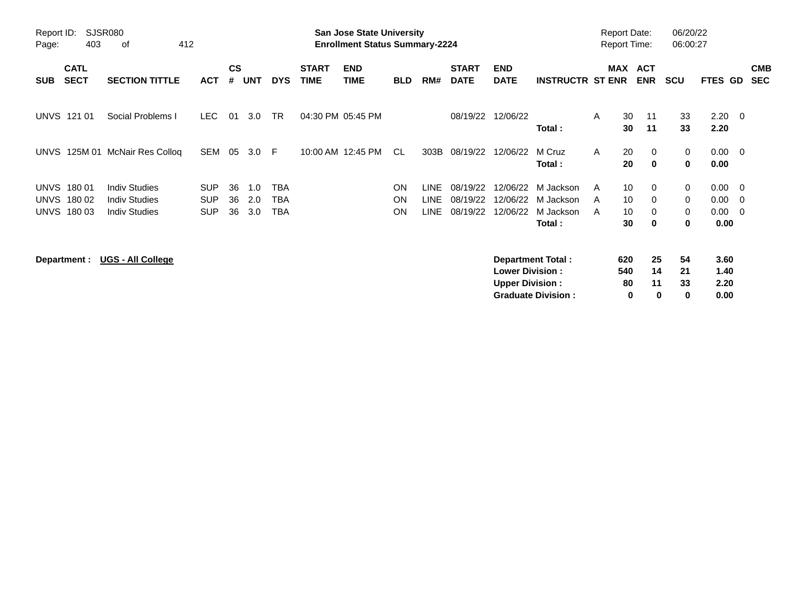| SJSR080<br>Report ID:<br>412<br>403<br>οf<br>Page: |                            |                           |            |                    | <b>San Jose State University</b><br><b>Enrollment Status Summary-2224</b> |            |                             |                           |            |             |                             |                           |                           |   | <b>Report Date:</b><br><b>Report Time:</b> |                          |            | 06/20/22<br>06:00:27 |                          |                          |
|----------------------------------------------------|----------------------------|---------------------------|------------|--------------------|---------------------------------------------------------------------------|------------|-----------------------------|---------------------------|------------|-------------|-----------------------------|---------------------------|---------------------------|---|--------------------------------------------|--------------------------|------------|----------------------|--------------------------|--------------------------|
| <b>SUB</b>                                         | <b>CATL</b><br><b>SECT</b> | <b>SECTION TITTLE</b>     | <b>ACT</b> | $\mathsf{cs}$<br># | <b>UNT</b>                                                                | <b>DYS</b> | <b>START</b><br><b>TIME</b> | <b>END</b><br><b>TIME</b> | <b>BLD</b> | RM#         | <b>START</b><br><b>DATE</b> | <b>END</b><br><b>DATE</b> | <b>INSTRUCTR ST ENR</b>   |   | <b>MAX</b>                                 | <b>ACT</b><br><b>ENR</b> | <b>SCU</b> | <b>FTES GD</b>       |                          | <b>CMB</b><br><b>SEC</b> |
|                                                    | <b>UNVS 121 01</b>         | Social Problems I         | LEC.       | 01                 | 3.0                                                                       | <b>TR</b>  |                             | 04:30 PM 05:45 PM         |            |             | 08/19/22                    | 12/06/22                  | Total:                    | A | 30<br>30                                   | 11<br>11                 | 33<br>33   | 2.20<br>2.20         | $\overline{\phantom{0}}$ |                          |
| <b>UNVS</b>                                        |                            | 125M 01 McNair Res Colloq | SEM        | 05                 | 3.0                                                                       | -F         |                             | 10:00 AM 12:45 PM         | CL.        | 303B        | 08/19/22                    | 12/06/22                  | M Cruz<br>Total:          | A | 20<br>20                                   | 0<br>$\mathbf 0$         | 0<br>0     | 0.00<br>0.00         | $\overline{\phantom{0}}$ |                          |
| <b>UNVS</b>                                        | 180 01                     | <b>Indiv Studies</b>      | <b>SUP</b> | 36                 | 1.0                                                                       | <b>TBA</b> |                             |                           | ON         | <b>LINE</b> | 08/19/22                    | 12/06/22                  | M Jackson                 | A | 10                                         | $\mathbf{0}$             | 0          | 0.00                 | $\overline{\mathbf{0}}$  |                          |
| <b>UNVS</b>                                        | 180 02                     | <b>Indiv Studies</b>      | <b>SUP</b> | 36                 | 2.0                                                                       | <b>TBA</b> |                             |                           | ON         | <b>LINE</b> | 08/19/22                    | 12/06/22                  | M Jackson                 | A | 10                                         | 0                        | 0          | 0.00                 | - 0                      |                          |
| UNVS                                               | 180 03                     | <b>Indiv Studies</b>      | <b>SUP</b> | 36                 | 3.0                                                                       | TBA        |                             |                           | <b>ON</b>  | LINE        | 08/19/22                    | 12/06/22                  | M Jackson                 | A | 10                                         | 0                        | 0          | 0.00                 | $\overline{\phantom{0}}$ |                          |
|                                                    |                            |                           |            |                    |                                                                           |            |                             |                           |            |             |                             |                           | Total:                    |   | 30                                         | 0                        | 0          | 0.00                 |                          |                          |
|                                                    | Department :               | <b>UGS - All College</b>  |            |                    |                                                                           |            |                             |                           |            |             |                             |                           | <b>Department Total:</b>  |   | 620                                        | 25                       | 54         | 3.60                 |                          |                          |
|                                                    |                            |                           |            |                    |                                                                           |            |                             |                           |            |             |                             | <b>Lower Division:</b>    |                           |   | 540                                        | 14                       | 21         | 1.40                 |                          |                          |
|                                                    |                            |                           |            |                    |                                                                           |            |                             |                           |            |             |                             | <b>Upper Division:</b>    |                           |   | 80                                         | 11                       | 33         | 2.20                 |                          |                          |
|                                                    |                            |                           |            |                    |                                                                           |            |                             |                           |            |             |                             |                           | <b>Graduate Division:</b> |   | 0                                          | 0                        | 0          | 0.00                 |                          |                          |